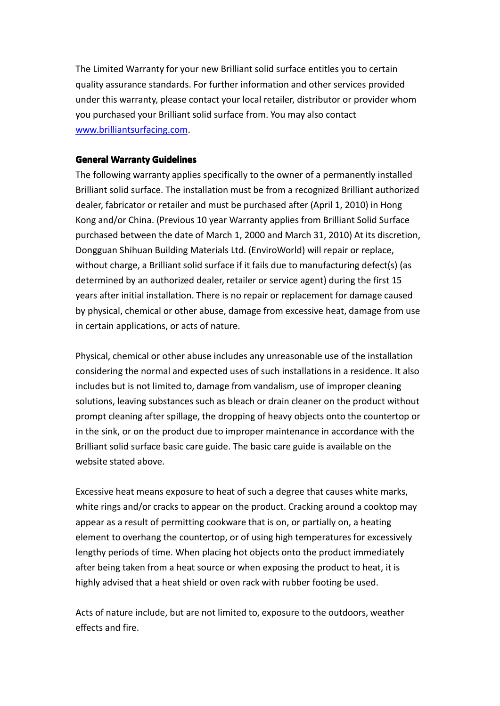The Limited Warranty for your new Brilliant solid surface entitles you to certain quality assurance standards. For further information and other services provided under this warranty, please contact your local retailer, distributor or provider whom you purchased your Brilliant solid surface from. You may also contact [www.brilliantsurfacing.com](http://www.brilliantsurfacing.com/).

## **General Warranty Guidelines**

The following warranty applies specifically to the owner of <sup>a</sup> permanently installed Brilliant solid surface. The installation must be from <sup>a</sup> recognized Brilliant authorized dealer, fabricator or retailer and must be purchased after (April 1, 2010) in Hong Kong and/or China. (Previous 10 year Warranty applies from Brilliant Solid Surface purchased between the date of March 1, 2000 and March 31, 2010) At its discretion, Dongguan Shihuan Building Materials Ltd. (EnviroWorld) will repair or replace, without charge, <sup>a</sup> Brilliant solid surface if it fails due to manufacturing defect(s) (as determined by an authorized dealer, retailer or service agent) during the first 15 years after initial installation. There is norepair or replacement for damage caused by physical, chemical or other abuse, damage from excessive heat, damage from use in certain applications, or acts of nature.

Physical, chemical or other abuse includes any unreasonable use of the installation considering the normal and expected uses of suchinstallations in <sup>a</sup> residence. It also includes but is not limited to, damage from vandalism, use of improper cleaning solutions, leaving substances such as bleach or drain cleaner on the product without prompt cleaning after spillage, the dropping of heavy objects onto the countertop or in the sink, or on the product due to improper maintenance in accordance with the Brilliant solid surface basic care guide. The basic care guide is available on the website stated above.

Excessive heat means exposure to heat of such <sup>a</sup> degree that causes white marks, white rings and/or cracks to appear on the product. Cracking around <sup>a</sup> cooktop may appear as <sup>a</sup> result of permitting cookware that is on, or partially on, <sup>a</sup> heating element to overhang the countertop, or of using high temperatures for excessively lengthy periods of time. When placing hot objects onto the product immediately after being taken from a heat source or when exposing the product to heat, it is highly advised that <sup>a</sup> heat shield or oven rack with rubber footing be used.

Acts of nature include, but are not limited to, exposure to the outdoors, weather effects and fire.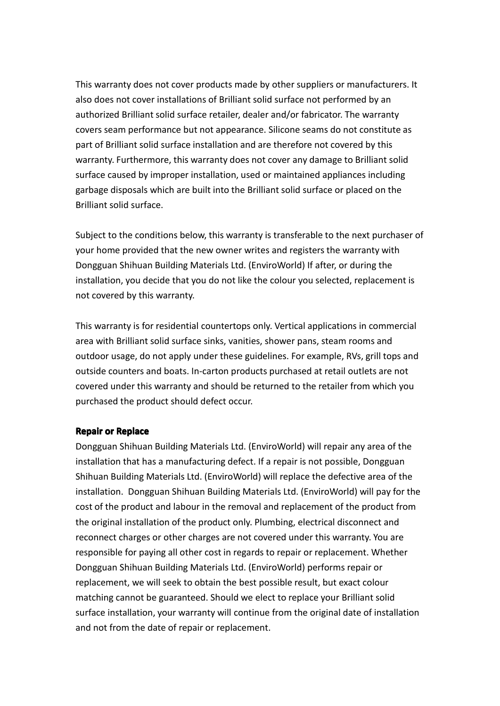This warranty does not cover products made by other suppliers or manufacturers. It also does not cover installations of Brilliant solid surface not performed by an authorized Brilliant solid surface retailer, dealer and/or fabricator. The warranty covers seam performance but not appearance. Silicone seams donot constitute as part of Brilliant solid surface installation and are therefore not covered by this warranty. Furthermore, this warranty does not cover any damage to Brilliant solid surface caused by improper installation, used or maintained appliances including garbage disposals which are built into the Brilliant solid surface or placed on the Brilliant solid surface.

Subject to the conditions below, this warranty is transferable to the next purchaser of your home provided that the newowner writes and registers the warranty with Dongguan Shihuan Building Materials Ltd. (EnviroWorld) If after, or during the installation, you decide that you do not like the colour you selected, replacement is not covered by this warranty.

This warranty is for residential countertops only. Vertical applications in commercial area with Brilliant solid surface sinks, vanities, shower pans, steam rooms and outdoor usage, do not apply under these guidelines. For example, RVs, grill tops and outside counters and boats. In-carton products purchased at retail outlets are not covered under this warranty and should be returned to the retailer from which you purchased the product should defect occur.

## **Repair or Replace**

Dongguan Shihuan Building Materials Ltd. (EnviroWorld) will repair any area of the installation that has <sup>a</sup> manufacturing defect. If <sup>a</sup> repair is not possible, Dongguan Shihuan Building Materials Ltd. (EnviroWorld) will replace the defective area of the installation. Dongguan Shihuan Building Materials Ltd. (EnviroWorld) will pay for the cost of the product andlabour in the removal and replacement of the product from the original installation of the product only. Plumbing, electrical disconnect and reconnect charges or other charges are not covered under this warranty. You are responsible for paying all other cost in regards to repair or replacement. Whether Dongguan Shihuan Building Materials Ltd. (EnviroWorld) performs repair or replacement, we will seek to obtain the best possible result, but exact colour matching cannot be guaranteed. Should we elect to replace your Brilliant solid surface installation, your warranty will continue from the original date of installation and not from the date of repair or replacement.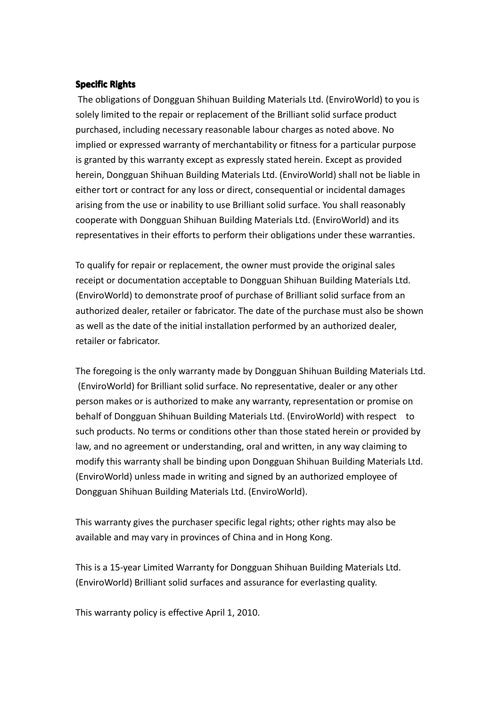## **Specific Rights**

The obligations of Dongguan Shihuan Building Materials Ltd. (EnviroWorld) to you is solely limited to the repair or replacement of the Brilliant solid surface product purchased, including necessary reasonable labour charges as noted above. No implied or expressed warranty of merchantability or fitness for <sup>a</sup> particular purpose is granted by this warranty except as expressly stated herein. Except as provided herein, Dongguan Shihuan Building Materials Ltd. (EnviroWorld) shall not be liable in either tort or contract for any loss or direct, consequential or incidental damages arising from the use or inability to use Brilliant solid surface. You shall reasonably cooperate with Dongguan Shihuan Building Materials Ltd. (EnviroWorld) and its representatives in their efforts to perform their obligations under these warranties.

To qualify for repair or replacement, the owner must provide the original sales receipt or documentation acceptable to Dongguan Shihuan Building Materials Ltd. (EnviroWorld) to demonstrate proof of purchase of Brilliant solid surface from an authorized dealer, retailer or fabricator. The date of the purchase must also be shown as well as the date of the initial installation performed by an authorized dealer, retailer or fabricator.

The foregoing is the only warranty made by Dongguan Shihuan Building Materials Ltd. (EnviroWorld) for Brilliant solid surface. No representative, dealer or any other person makes or is authorized to make any warranty, representation or promise on behalf of Dongguan Shihuan Building Materials Ltd. (EnviroWorld) with respect to such products. No terms or conditions other than those stated herein or provided by law, and no agreement or understanding, oral and written, in any way claiming to modify this warranty shall be binding upon Dongguan Shihuan Building Materials Ltd. (EnviroWorld) unless made in writing and signed by an authorized employee of Dongguan Shihuan Building Materials Ltd. (EnviroWorld).

This warranty gives the purchaser specific legal rights; other rights may also be available and may vary in provinces of China and in Hong Kong.

This is <sup>a</sup> 15-year Limited Warranty for Dongguan Shihuan Building Materials Ltd. (EnviroWorld) Brilliant solid surfaces and assurance for everlasting quality.

This warranty policy is effective April 1, 2010.